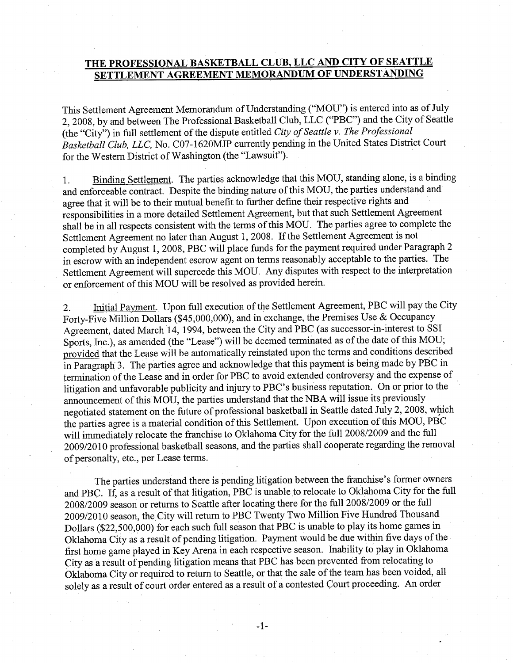## THE PROFESSIONAL BASKETBALL CLUB, LLC AND CITY OF SEATTLE SETTLEMENT AGREEMENT MEMORANDUM OF UNDERSTANDING

This Settlement Agreement Memorandum of Understanding ("MOU") is entered into as of July 2,2008,by and between The Professional Basketball Club, LLC ("PBC") and the City of Seattle (the "City'') in full settlement of the dispute entitled City of Seattle v. The Professional Basketball Club, LLC, No. C07-1620MJP currently pending in the United States District Court for the Western District of Washington (the "Lawsuit").

1. Binding Settlement. The parties acknowledge that this MOU, standing alone, is a binding and enforceable contract. Despite the binding nature of this MOU, the parties understand and agree that it will be to their mutual benefit to further define their respective rights and responsibilities in a more detailed Settlement Agreement, but that such Settlement Agreement shall be in all respects consistent with the terms of this MOU. The parties agree to complete the Settlement Agreement no later than August 1, 2008. If the Settlement Agreement is not completed by August 1, 2008, PBC will place funds for the payment required under Paragraph 2 in escrow with an independent escrow agent on terms reasonably acceptable to the parties. The Settlement Agreement will supercede this MOU. Any disputes with respect to the interpretation or enforcement of this MOU will be resolved as provided herein.

2. Initial Payment. Upon full execution of the Settlement Agreement, PBC will pay the City Forty-Five Million Dollars (\$45,000,000), and in exchange, the Premises Use & Occupancy Agreement, dated March 14, 1994, between the City and PBC (as successor-in-interest to SSI Sports, Inc.), as amended (the "Lease") will be deemed terminated as of the date of this MOU; piovided that the Lease will be automatically reinstated upon the terms and conditions described in Paragraph 3. The parties agree and acknowledge that this payment is being made by PBC in termination of the Lease and in order for PBC to avoid extended controversy and the expense of litigation and unfavorable publicity and injury to PBC's business reputation. On or prior to the announcement of this MOU, the parties understand that the NBA will issue its previously negotiated statement on the future of professional basketball in Seattle dated July 2, 2008, which the parties agree is a material condition of this Settlement. Upon execution of this MOU, PBC will immediately relocate the franchise to Oklahoma City for the full 2008/2009 and the full 2009/2010 professional basketball seasons, and the parties shall cooperate regarding the removal of personalty, etc., per Lease terms.

The parties understand there is pending litigation between the franchise's former owners and PBC. If, as a result of that litigation, PBC is unable to relocate to Oklahoma City for the full 2008/2009 season or returns to Seattle after locating there for the full 2008/2009 or the full 2009/2010 season, the City will return to PBC Twenty Two Million Five Hundred Thousand Dollars (\$22,500,000) for each such full season that PBC is unable to play its home games in Oklahoma City as a result of pending litigation. Payment would be due within five days of the first home game played in Key Arena in each respective season. Inability to play in Oklahoma City as a result of pending litigation means that PBC has been prevented from relocating to Oklahoma City or required to retum to Seattle, or that the sale of the team has been voided, all solely as a result of court order entered as a result of a contested Court proceeding. An order

-1-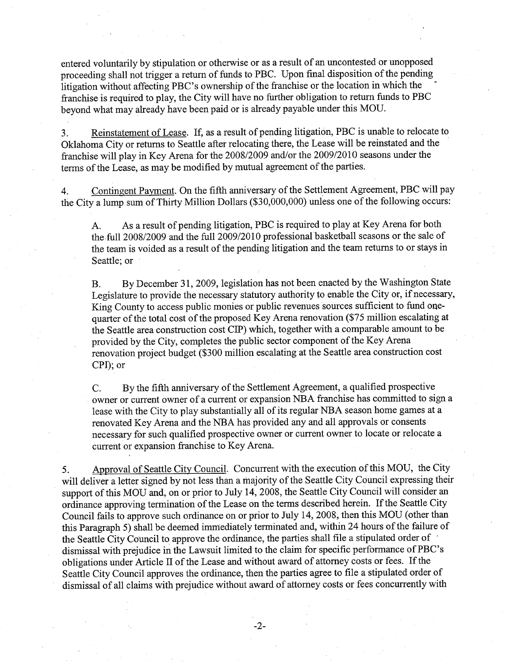entered voluntarily by stipulation or otherwise or as a result of an uncontested or unopposed proceeding shall not trigger a retum of funds to PBC. Upon final disposition of the pending litigation without affecting PBC's ownership of the franchise or the location in which the franchise is required to play, the City will have no further obligation to return funds to PBC beyond what may already have been paid or is already payable under this MOU.

3. Reinstatement of Lease. If, as a result of pending litigation, PBC is unable to relocate to Oklahoma City or returns to Seattle after relocating there, the Lease will be reinstated and the franchise will play in Key Arena for the 2008/2009 and/or the 2009/2010 seasons under the tenns of the Lease, as may be modified by mutual agreement of the parties.

4. Contingent Payment. On the fifth anniversary of the Settlement Agreement, PBC will pay the City a lump sum of Thirty Million Dollars (\$30,000,000) unless one of the following occurs:

A. As a result of pending litigation, PBC is required to play at Key Arena for both the full 2008/2009 and the full 2009/2010 professional basketball seasons or the sale of the team is voided as a result of the pending litigation and the team returns to or stays in Seattle; or

B. By December 31, 2009, legislation has not been enacted by the Washington State Legislature to provide the necessary statutory authority to enable the City or, if necessary, King County to access public monies or public revenues sources sufficient to fund onequarter of the total cost of the proposed Key Arena renovation (\$75 million escalating at the Seattle area construction cost CIP) which, together with a comparable amount to be provided by the City, completes the public sector component of the Key Arena renovation project budget (\$300 million escalating at the Seattle area construction cost CPI); or

C. By the fifth anniversary of the Settlement Agreement, a qualified prospective owner or current owner of a current or expansion NBA franchise has committed to sign a lease with the City to play substantially all of its regular NBA season home games at <sup>a</sup> renovated Key Arena and the NBA has provided any and all approvals or consents necessary for such qualified prospective owner or current owner to locate or relocate a current or expansion franchise to Key Arena.

5. Approval of Seattle City Council. Concurrent with the execution of this MOU, the City will deliver a letter signed by not less than a majority of the Seattle City Council expressing their support of this MOU and, on or prior to July 14,2008, the Seattle City Council will consider an ordinance approving termination of the Lease on the terms described herein. If the Seattle City Council fails to approve such ordinance on or prior to July 14,2008, then this MOU (other than this Paragraph 5) shall be deemed immediately terminated and, within 24 hours of the failure of the Seattle City Council to approve the ordinance, the parties shall file a stipulated order of dismissal with prejudice in the Lawsuit limited to the claim for specific performance of PBC's obligations under Article II of the Lease and without award of attorney costs or fees. If the Seattle City Council approves the ordinance, then the parties agree to file a stipulated order of dismissal of all claims with prejudice without award of attomey costs or fees concurrently with

 $-2-$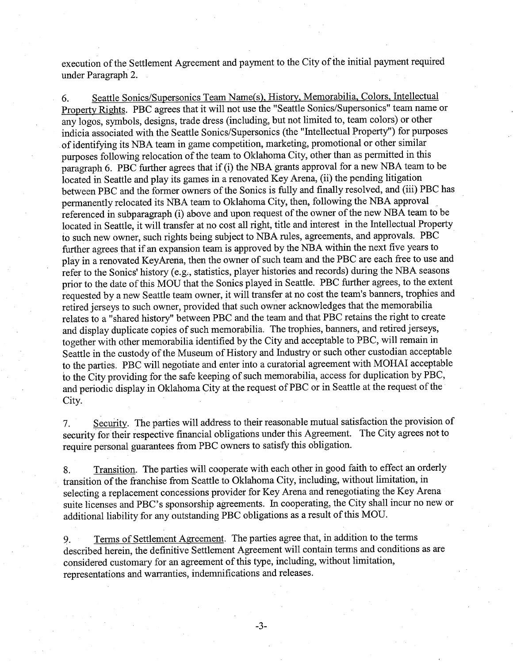execution of the Settlement Agreement and payrnent to the City of the initial payment required under Paragraph 2.

6. Seattle Sonics/Supersonics Team Name(s). History. Memorabilia. Colors. Intellecfual Property Rights. PBC agrees that it will not use the "Seattle Sonics/Supersonics" team name or any logos, syrnbols, designs, trade dress (including, but not limited to, team colors) or other indicia associated with the Seattle Sonics/Supersonics (the "Intellectual Property") for purposes of identifying its NBA team in game competition, marketing, promotional or other similar purposes following relocation of the team to Oklahoma City, other than as permitted in this paragraph 6. PBC further agrees that if (i) the NBA grants approval for a new NBA team to be located in Seattle and play its games in a renovated Key Arena, (ii) the pending litigation between PBC and the former owners of the Sonics is fully and finally resolved, and (iii) PBC has permanently relocated its NBA team to Oklahoma City, then, following the NBA approval referenced in subparagraph (i) above and upon request of the owner of the new NBA team to be located in Seattle, it will transfer at no cost all right, title and interest in the Intellectual Property to such new owner, such rights being subject to NBA rules, agreements, and approvals. PBC further agrees that if an expansion team is approved by the NBA within the next five years to play in a renovated KeyArena, then the owner of such team and the PBC are each free to use and refer to the Sonics' history (e.g,, statistics, player histories and records) during the NBA seasons prior to the date of this MOU that the Sonics played in Seattle. PBC further agrees, to the extent requested by a new Seattle team owner, it will transfer at no cost the team's banners, trophies and retired jerseys to such owner, provided that such owner acknowledges that the memorabilia relates to a "shared history" between PBC and the team and that PBC retains the right to create and display duplicate copies of such memorabilia. The trophies, banners, and retired jerseys, together with other memorabilia identified by the City and acceptable to PBC, will remain in Seattle in the custody of the Museum of History and Industry or such other custodian acceptable to the parties. PBC will negotiate and enter into a curatorial agreement with MOHAI acceptable to the City providing for the safe keeping of such memorabilia, access for duplication by PBC, and periodic display in Oklahoma City at the request of PBC or in Seattle at the request of the City.

7. Security. The parties will address to their reasonable mutual satisfaction the provision of security for their respective financial obligations under this Agreement. The City agrees not to require personal guarantees from PBC owners to satisfy this obligation.

8. Transition. The parties will cooperate with each other in good faith to effect an orderly transition of the franchise from Seattle to Oklahoma City, including, without limitation, in selecting a replacement concessions provider for Key Arena and renegotiating the Key Arena suite licenses and PBC's sponsorship agreements. In cooperating, the City shall incur no new or additional liability for any outstanding PBC obligations as a result of this MOU.

9. Terms of Settlement Agreement. The parties agree that, in addition to the terms described herein, the definitive Settlement Agreement will contain terms and conditions as are considered customary for an agreement of this type, including, without limitation, representations and warranties, indemnifications and releases.

-J-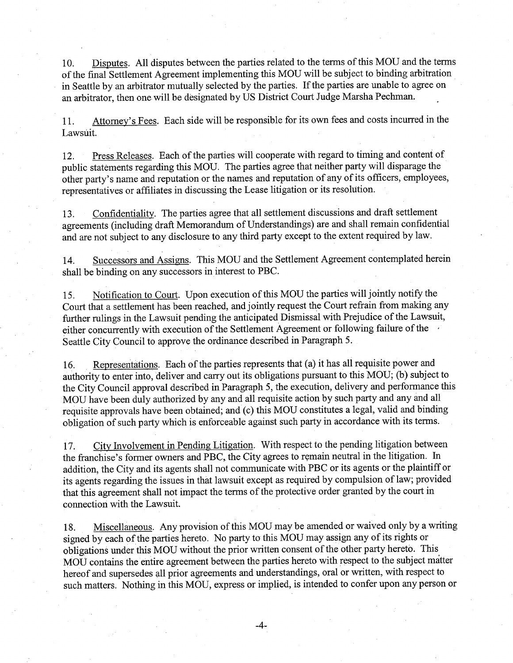10. Disputes. All disputes between the parties related to the terms of this MOU and the terms of the final Settlement Agreement implementing this MOU will be subject to binding arbitration in Seattle by an arbitrator mutually selected by the parties. If the parties are unable to agree on an arbitrator, then one will be designated by US District Court Judge Marsha Pechman.

11. Attorney's Fees. Each side will be responsible for its own fees and costs incurred in the Lawsuit.

12. Press Releases. Each of the parties will cooperate with regard to timing and content of public statements regarding this MOU. The parties agree that neither party will disparage the other party's name and reputation or the names and reputation of any of its officers, employees, representatives or affiliates in discussing the Lease litigation or its resolution.

13. Confidentiality. The parties agree that all settlement discussions and draft settlement agreements (including draft Memorandum of Understandings) are and shall remain confidential and are not subject to any disclosure to any third party except to the extent required by law.

14. Successors and Assigns. This MOU and the Settlement Agreement contemplated herein shall be binding on any successors in interest to PBC.

15. Notification to Court. Upon execution of this MOU the parties will jointly notify the Court that a settlement has been reached, and jointly request the Court refrain from making any further rulings in the Lawsuit pending the anticipated Dismissal with Prejudice of the Lawsuit, either concurrently with execution of the Settlement Agreement or following failure of the Seattle City Council to approve the ordinance described in Paragraph 5.

16. Representations. Each of the parties represents that (a) it has all requisite power and authority to enter into, deliver and carry out its obligations pursuant to this MOU; (b) subject to the City Council approval described in Paragraph 5, the execution, delivery and performance this MOU have been duly authorized by any and all requisite action by such party and any and all requisite approvals have been obtained; and (c) this MOU constitutes alegal, valid and binding obligation of such party which is enforceable agaínst such party in accordance with its terms.

17. City Involvement in Pending Litigation. With respect to the pending litigation between the franchise's former owners and PBC, the City agrees to remain neutral in the litigation. In addition, the City and its agents shall not communicate with PBC or its agents or the plaintiff or its agents regarding the issues in that lawsuit except as required by compulsion of law; provided that this agreement shall not impact the terms of the protective order granted by the court in connection with the Lawsuit.

18. Miscellaneous. Any provision of this MOU may be amended or waived only by a writing signed by each of the parties hereto. No party to this MOU may assign any of its rights or obligations under this MOU without the prior written consent of the other party hereto. This MOU contains the entire agreement between the parties hereto with respect to the subject matter hereof and supersedes all prior agreements and understandings, oral or written, with respect to such matters. Nothing in this MOU, express or implied, is intended to confer upon any person or

-4-